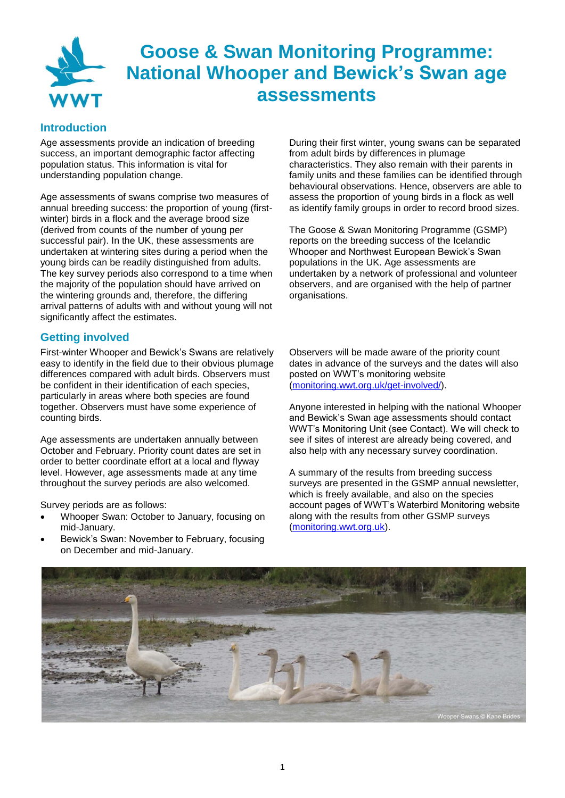

## **Goose & Swan Monitoring Programme: National Whooper and Bewick's Swan age assessments**

#### **Introduction**

Age assessments provide an indication of breeding success, an important demographic factor affecting population status. This information is vital for understanding population change.

Age assessments of swans comprise two measures of annual breeding success: the proportion of young (firstwinter) birds in a flock and the average brood size (derived from counts of the number of young per successful pair). In the UK, these assessments are undertaken at wintering sites during a period when the young birds can be readily distinguished from adults. The key survey periods also correspond to a time when the majority of the population should have arrived on the wintering grounds and, therefore, the differing arrival patterns of adults with and without young will not significantly affect the estimates.

#### **Getting involved**

First-winter Whooper and Bewick's Swans are relatively easy to identify in the field due to their obvious plumage differences compared with adult birds. Observers must be confident in their identification of each species, particularly in areas where both species are found together. Observers must have some experience of counting birds.

Age assessments are undertaken annually between October and February. Priority count dates are set in order to better coordinate effort at a local and flyway level. However, age assessments made at any time throughout the survey periods are also welcomed.

Survey periods are as follows:

- Whooper Swan: October to January, focusing on mid-January.
- Bewick's Swan: November to February, focusing on December and mid-January.

During their first winter, young swans can be separated from adult birds by differences in plumage characteristics. They also remain with their parents in family units and these families can be identified through behavioural observations. Hence, observers are able to assess the proportion of young birds in a flock as well as identify family groups in order to record brood sizes.

The Goose & Swan Monitoring Programme (GSMP) reports on the breeding success of the Icelandic Whooper and Northwest European Bewick's Swan populations in the UK. Age assessments are undertaken by a network of professional and volunteer observers, and are organised with the help of partner organisations.

Observers will be made aware of the priority count dates in advance of the surveys and the dates will also posted on WWT's monitoring website [\(monitoring.wwt.org.uk/get-involved/\)](http://monitoring.wwt.org.uk/get-involved/).

Anyone interested in helping with the national Whooper and Bewick's Swan age assessments should contact WWT's Monitoring Unit (see Contact). We will check to see if sites of interest are already being covered, and also help with any necessary survey coordination.

A summary of the results from breeding success surveys are presented in the GSMP annual newsletter, which is freely available, and also on the species account pages of WWT's Waterbird Monitoring website along with the results from other GSMP surveys [\(monitoring.wwt.org.uk\)](http://monitoring.wwt.org.uk/).

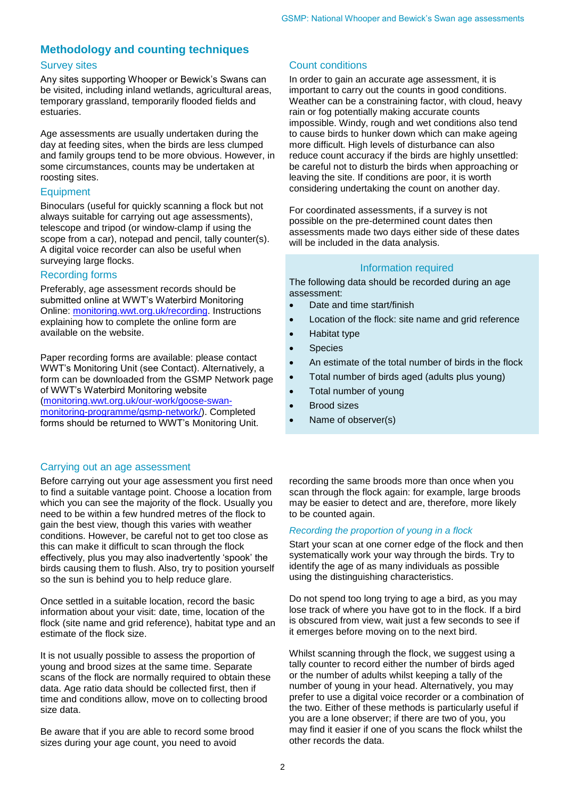#### **Methodology and counting techniques**

#### Survey sites

Any sites supporting Whooper or Bewick's Swans can be visited, including inland wetlands, agricultural areas, temporary grassland, temporarily flooded fields and estuaries.

Age assessments are usually undertaken during the day at feeding sites, when the birds are less clumped and family groups tend to be more obvious. However, in some circumstances, counts may be undertaken at roosting sites.

#### **Equipment**

Binoculars (useful for quickly scanning a flock but not always suitable for carrying out age assessments), telescope and tripod (or window-clamp if using the scope from a car), notepad and pencil, tally counter(s). A digital voice recorder can also be useful when surveying large flocks.

#### Recording forms

Preferably, age assessment records should be submitted online at WWT's Waterbird Monitoring Online: [monitoring.wwt.org.uk/recording.](http://monitoring.wwt.org.uk/recording) Instructions explaining how to complete the online form are available on the website.

Paper recording forms are available: please contact WWT's Monitoring Unit (see Contact). Alternatively, a form can be downloaded from the GSMP Network page of WWT's Waterbird Monitoring website [\(monitoring.wwt.org.uk/our-work/goose-swan](http://monitoring.wwt.org.uk/our-work/goose-swan-monitoring-programme/gsmp-network/)[monitoring-programme/gsmp-network/\)](http://monitoring.wwt.org.uk/our-work/goose-swan-monitoring-programme/gsmp-network/). Completed forms should be returned to WWT's Monitoring Unit.

#### Carrying out an age assessment

Before carrying out your age assessment you first need to find a suitable vantage point. Choose a location from which you can see the majority of the flock. Usually you need to be within a few hundred metres of the flock to gain the best view, though this varies with weather conditions. However, be careful not to get too close as this can make it difficult to scan through the flock effectively, plus you may also inadvertently 'spook' the birds causing them to flush. Also, try to position yourself so the sun is behind you to help reduce glare.

Once settled in a suitable location, record the basic information about your visit: date, time, location of the flock (site name and grid reference), habitat type and an estimate of the flock size.

It is not usually possible to assess the proportion of young and brood sizes at the same time. Separate scans of the flock are normally required to obtain these data. Age ratio data should be collected first, then if time and conditions allow, move on to collecting brood size data.

Be aware that if you are able to record some brood sizes during your age count, you need to avoid

#### Count conditions

In order to gain an accurate age assessment, it is important to carry out the counts in good conditions. Weather can be a constraining factor, with cloud, heavy rain or fog potentially making accurate counts impossible. Windy, rough and wet conditions also tend to cause birds to hunker down which can make ageing more difficult. High levels of disturbance can also reduce count accuracy if the birds are highly unsettled: be careful not to disturb the birds when approaching or leaving the site. If conditions are poor, it is worth considering undertaking the count on another day.

For coordinated assessments, if a survey is not possible on the pre-determined count dates then assessments made two days either side of these dates will be included in the data analysis.

#### Information required

The following data should be recorded during an age assessment:

- Date and time start/finish
- Location of the flock: site name and grid reference
- Habitat type
- Species
- An estimate of the total number of birds in the flock
- Total number of birds aged (adults plus young)
- Total number of young
- Brood sizes
- Name of observer(s)

recording the same broods more than once when you scan through the flock again: for example, large broods may be easier to detect and are, therefore, more likely to be counted again.

#### *Recording the proportion of young in a flock*

Start your scan at one corner edge of the flock and then systematically work your way through the birds. Try to identify the age of as many individuals as possible using the distinguishing characteristics.

Do not spend too long trying to age a bird, as you may lose track of where you have got to in the flock. If a bird is obscured from view, wait just a few seconds to see if it emerges before moving on to the next bird.

Whilst scanning through the flock, we suggest using a tally counter to record either the number of birds aged or the number of adults whilst keeping a tally of the number of young in your head. Alternatively, you may prefer to use a digital voice recorder or a combination of the two. Either of these methods is particularly useful if you are a lone observer; if there are two of you, you may find it easier if one of you scans the flock whilst the other records the data.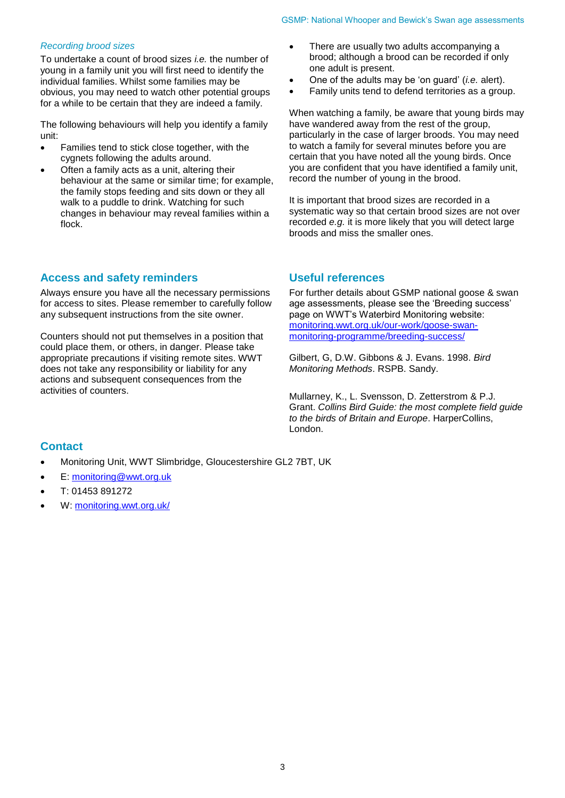#### *Recording brood sizes*

To undertake a count of brood sizes *i.e.* the number of young in a family unit you will first need to identify the individual families. Whilst some families may be obvious, you may need to watch other potential groups for a while to be certain that they are indeed a family.

The following behaviours will help you identify a family unit:

- Families tend to stick close together, with the cygnets following the adults around.
- Often a family acts as a unit, altering their behaviour at the same or similar time; for example, the family stops feeding and sits down or they all walk to a puddle to drink. Watching for such changes in behaviour may reveal families within a flock.

#### **Access and safety reminders**

Always ensure you have all the necessary permissions for access to sites. Please remember to carefully follow any subsequent instructions from the site owner.

Counters should not put themselves in a position that could place them, or others, in danger. Please take appropriate precautions if visiting remote sites. WWT does not take any responsibility or liability for any actions and subsequent consequences from the activities of counters.

- There are usually two adults accompanying a brood; although a brood can be recorded if only one adult is present.
- One of the adults may be 'on guard' (*i.e.* alert).
- Family units tend to defend territories as a group.

When watching a family, be aware that young birds may have wandered away from the rest of the group, particularly in the case of larger broods. You may need to watch a family for several minutes before you are certain that you have noted all the young birds. Once you are confident that you have identified a family unit, record the number of young in the brood.

It is important that brood sizes are recorded in a systematic way so that certain brood sizes are not over recorded *e.g.* it is more likely that you will detect large broods and miss the smaller ones.

#### **Useful references**

For further details about GSMP national goose & swan age assessments, please see the 'Breeding success' page on WWT's Waterbird Monitoring website: [monitoring.wwt.org.uk/our-work/goose-swan](http://monitoring.wwt.org.uk/our-work/goose-swan-monitoring-programme/breeding-success/)[monitoring-programme/breeding-success/](http://monitoring.wwt.org.uk/our-work/goose-swan-monitoring-programme/breeding-success/)

Gilbert, G, D.W. Gibbons & J. Evans. 1998. *Bird Monitoring Methods*. RSPB. Sandy.

Mullarney, K., L. Svensson, D. Zetterstrom & P.J. Grant. *Collins Bird Guide: the most complete field guide to the birds of Britain and Europe*. HarperCollins, London.

#### **Contact**

- Monitoring Unit, WWT Slimbridge, Gloucestershire GL2 7BT, UK
- E: [monitoring@wwt.org.uk](mailto:monitoring@wwt.org.uk)
- T: 01453 891272
- W: [monitoring.wwt.org.uk/](http://monitoring.wwt.org.uk/)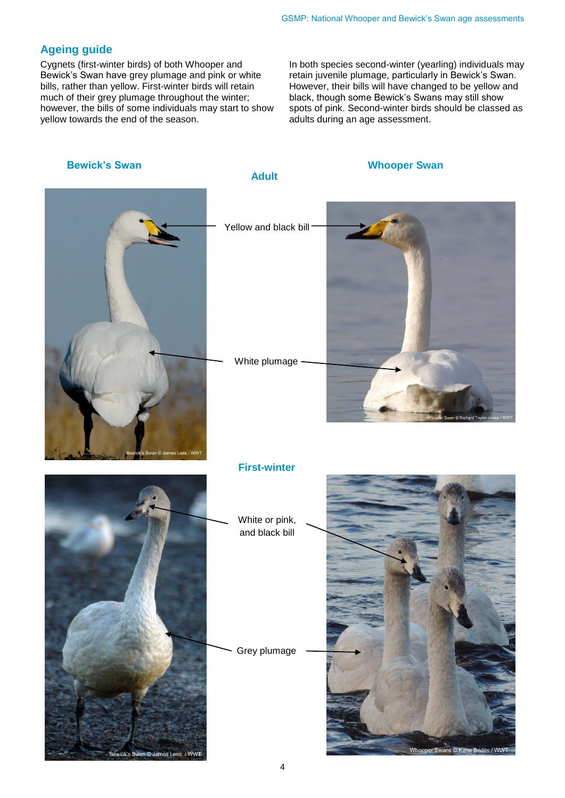#### **Ageing guide**

Cygnets (first-winter birds) of both Whooper and Bewick's Swan have grey plumage and pink or white bills, rather than yellow. First-winter birds will retain much of their grey plumage throughout the winter; however, the bills of some individuals may start to show yellow towards the end of the season.

In both species second-winter (yearling) individuals may retain juvenile plumage, particularly in Bewick's Swan. However, their bills will have changed to be yellow and black, though some Bewick's Swans may still show spots of pink. Second-winter birds should be classed as adults during an age assessment.

# **Bewick's Swan Bewick's Swan** Yellow and black bill White plumage **First-winter** White or pink, and black bill Grey plumage **Adult**

4

n © James Lees / WWT